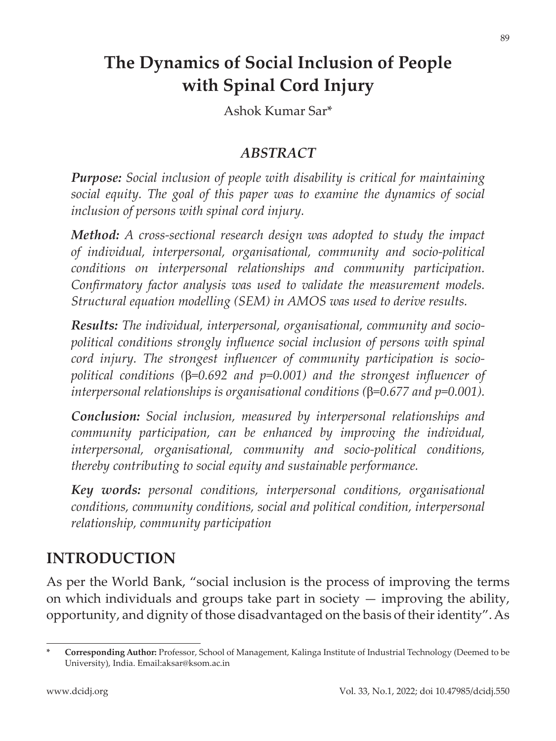# **The Dynamics of Social Inclusion of People with Spinal Cord Injury**

Ashok Kumar Sar\*

### *ABSTRACT*

*Purpose: Social inclusion of people with disability is critical for maintaining social equity. The goal of this paper was to examine the dynamics of social inclusion of persons with spinal cord injury.*

*Method: A cross-sectional research design was adopted to study the impact of individual, interpersonal, organisational, community and socio-political conditions on interpersonal relationships and community participation. Confirmatory factor analysis was used to validate the measurement models. Structural equation modelling (SEM) in AMOS was used to derive results.*

*Results: The individual, interpersonal, organisational, community and sociopolitical conditions strongly influence social inclusion of persons with spinal cord injury. The strongest influencer of community participation is sociopolitical conditions (*β*=0.692 and p=0.001) and the strongest influencer of interpersonal relationships is organisational conditions (*β*=0.677 and p=0.001).*

*Conclusion: Social inclusion, measured by interpersonal relationships and community participation, can be enhanced by improving the individual, interpersonal, organisational, community and socio-political conditions, thereby contributing to social equity and sustainable performance.*

*Key words: personal conditions, interpersonal conditions, organisational conditions, community conditions, social and political condition, interpersonal relationship, community participation*

# **INTRODUCTION**

As per the World Bank, "social inclusion is the process of improving the terms on which individuals and groups take part in society  $-$  improving the ability, opportunity, and dignity of those disadvantaged on the basis of their identity". As

89

**<sup>\*</sup> Corresponding Author:** Professor, School of Management, Kalinga Institute of Industrial Technology (Deemed to be University), India. Email:aksar@ksom.ac.in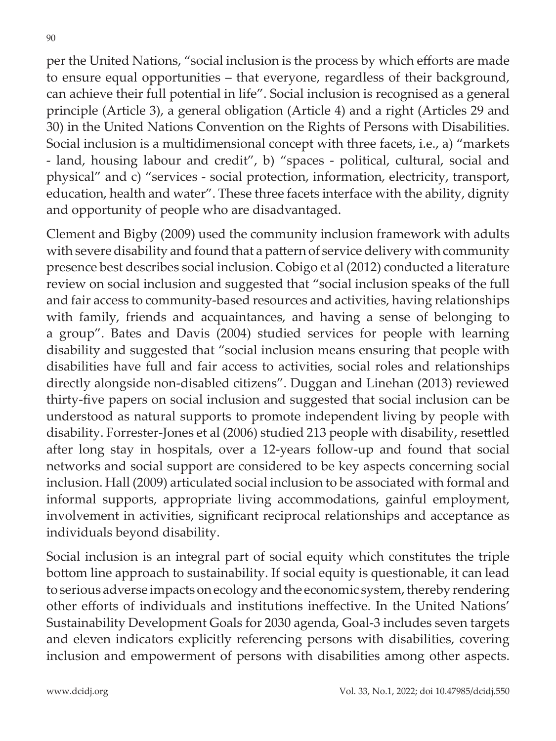per the United Nations, "social inclusion is the process by which efforts are made to ensure equal opportunities – that everyone, regardless of their background, can achieve their full potential in life". Social inclusion is recognised as a general principle (Article 3), a general obligation (Article 4) and a right (Articles 29 and 30) in the United Nations Convention on the Rights of Persons with Disabilities. Social inclusion is a multidimensional concept with three facets, i.e., a) "markets - land, housing labour and credit", b) "spaces - political, cultural, social and physical" and c) "services - social protection, information, electricity, transport, education, health and water". These three facets interface with the ability, dignity and opportunity of people who are disadvantaged.

Clement and Bigby (2009) used the community inclusion framework with adults with severe disability and found that a pattern of service delivery with community presence best describes social inclusion. Cobigo et al (2012) conducted a literature review on social inclusion and suggested that "social inclusion speaks of the full and fair access to community-based resources and activities, having relationships with family, friends and acquaintances, and having a sense of belonging to a group". Bates and Davis (2004) studied services for people with learning disability and suggested that "social inclusion means ensuring that people with disabilities have full and fair access to activities, social roles and relationships directly alongside non-disabled citizens". Duggan and Linehan (2013) reviewed thirty-five papers on social inclusion and suggested that social inclusion can be understood as natural supports to promote independent living by people with disability. Forrester-Jones et al (2006) studied 213 people with disability, resettled after long stay in hospitals, over a 12-years follow-up and found that social networks and social support are considered to be key aspects concerning social inclusion. Hall (2009) articulated social inclusion to be associated with formal and informal supports, appropriate living accommodations, gainful employment, involvement in activities, significant reciprocal relationships and acceptance as individuals beyond disability.

Social inclusion is an integral part of social equity which constitutes the triple bottom line approach to sustainability. If social equity is questionable, it can lead to serious adverse impacts on ecology and the economic system, thereby rendering other efforts of individuals and institutions ineffective. In the United Nations' Sustainability Development Goals for 2030 agenda, Goal-3 includes seven targets and eleven indicators explicitly referencing persons with disabilities, covering inclusion and empowerment of persons with disabilities among other aspects.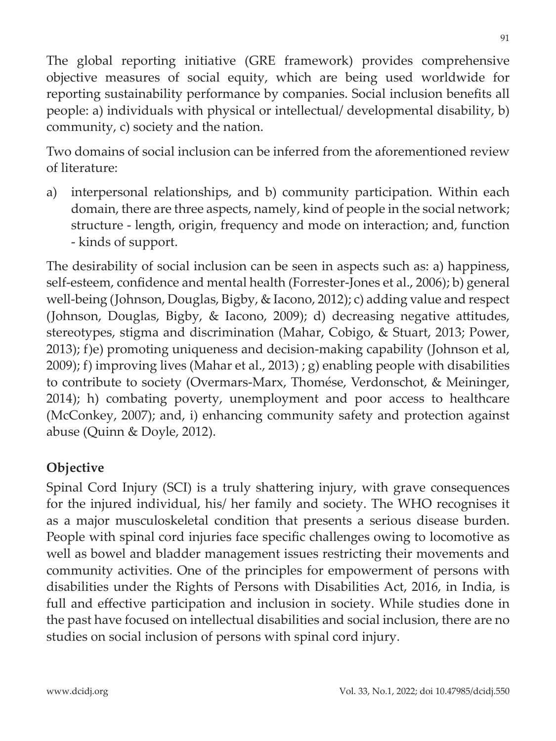The global reporting initiative (GRE framework) provides comprehensive objective measures of social equity, which are being used worldwide for reporting sustainability performance by companies. Social inclusion benefits all people: a) individuals with physical or intellectual/ developmental disability, b) community, c) society and the nation.

Two domains of social inclusion can be inferred from the aforementioned review of literature:

a) interpersonal relationships, and b) community participation. Within each domain, there are three aspects, namely, kind of people in the social network; structure - length, origin, frequency and mode on interaction; and, function - kinds of support.

The desirability of social inclusion can be seen in aspects such as: a) happiness, self-esteem, confidence and mental health (Forrester-Jones et al., 2006); b) general well-being (Johnson, Douglas, Bigby, & Iacono, 2012); c) adding value and respect (Johnson, Douglas, Bigby, & Iacono, 2009); d) decreasing negative attitudes, stereotypes, stigma and discrimination (Mahar, Cobigo, & Stuart, 2013; Power, 2013); f)e) promoting uniqueness and decision-making capability (Johnson et al, 2009); f) improving lives (Mahar et al., 2013); g) enabling people with disabilities to contribute to society (Overmars-Marx, Thomése, Verdonschot, & Meininger, 2014); h) combating poverty, unemployment and poor access to healthcare (McConkey, 2007); and, i) enhancing community safety and protection against abuse (Quinn & Doyle, 2012).

# **Objective**

Spinal Cord Injury (SCI) is a truly shattering injury, with grave consequences for the injured individual, his/ her family and society. The WHO recognises it as a major musculoskeletal condition that presents a serious disease burden. People with spinal cord injuries face specific challenges owing to locomotive as well as bowel and bladder management issues restricting their movements and community activities. One of the principles for empowerment of persons with disabilities under the Rights of Persons with Disabilities Act, 2016, in India, is full and effective participation and inclusion in society. While studies done in the past have focused on intellectual disabilities and social inclusion, there are no studies on social inclusion of persons with spinal cord injury.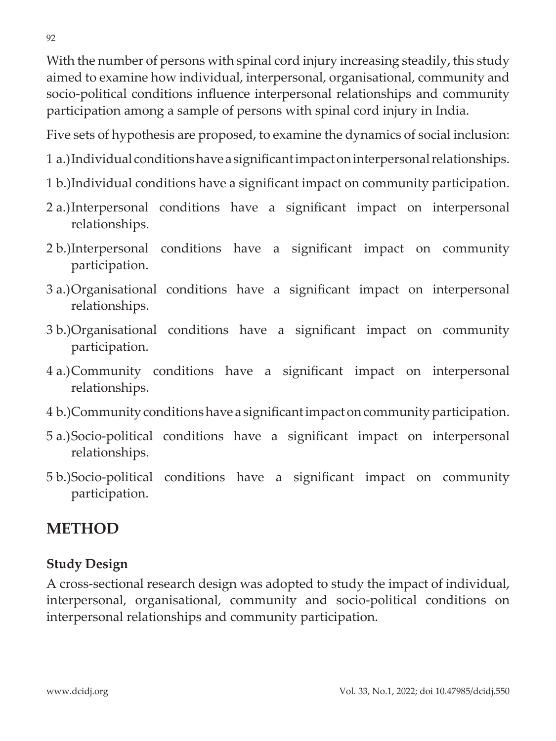With the number of persons with spinal cord injury increasing steadily, this study aimed to examine how individual, interpersonal, organisational, community and socio-political conditions influence interpersonal relationships and community participation among a sample of persons with spinal cord injury in India.

Five sets of hypothesis are proposed, to examine the dynamics of social inclusion:

1 a.)Individual conditions have a significant impact on interpersonal relationships.

- 1 b.)Individual conditions have a significant impact on community participation.
- 2 a.)Interpersonal conditions have a significant impact on interpersonal relationships.
- 2 b.)Interpersonal conditions have a significant impact on community participation.
- 3 a.)Organisational conditions have a significant impact on interpersonal relationships.
- 3 b.)Organisational conditions have a significant impact on community participation.
- 4 a.)Community conditions have a significant impact on interpersonal relationships.
- 4 b.)Community conditions have a significant impact on community participation.
- 5 a.)Socio-political conditions have a significant impact on interpersonal relationships.
- 5 b.)Socio-political conditions have a significant impact on community participation.

# **METHOD**

# **Study Design**

A cross-sectional research design was adopted to study the impact of individual, interpersonal, organisational, community and socio-political conditions on interpersonal relationships and community participation.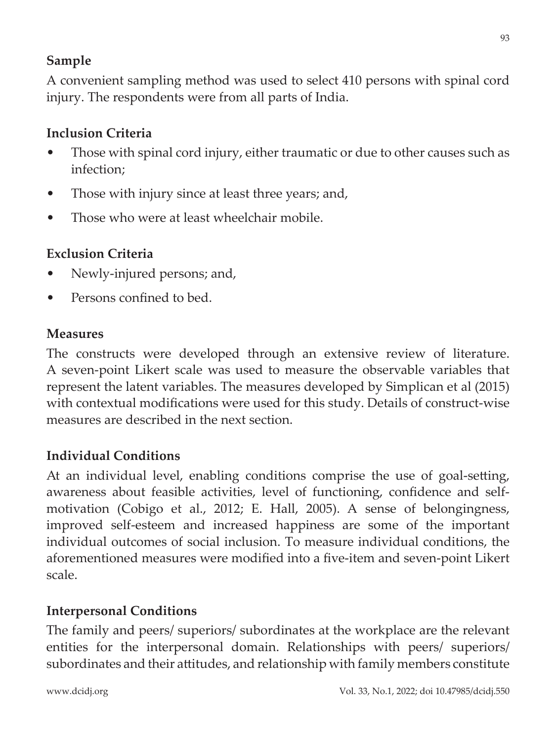# **Sample**

A convenient sampling method was used to select 410 persons with spinal cord injury. The respondents were from all parts of India.

# **Inclusion Criteria**

- Those with spinal cord injury, either traumatic or due to other causes such as infection;
- Those with injury since at least three years; and,
- Those who were at least wheelchair mobile.

# **Exclusion Criteria**

- Newly-injured persons; and,
- Persons confined to bed.

#### **Measures**

The constructs were developed through an extensive review of literature. A seven-point Likert scale was used to measure the observable variables that represent the latent variables. The measures developed by Simplican et al (2015) with contextual modifications were used for this study. Details of construct-wise measures are described in the next section.

# **Individual Conditions**

At an individual level, enabling conditions comprise the use of goal-setting, awareness about feasible activities, level of functioning, confidence and selfmotivation (Cobigo et al., 2012; E. Hall, 2005). A sense of belongingness, improved self-esteem and increased happiness are some of the important individual outcomes of social inclusion. To measure individual conditions, the aforementioned measures were modified into a five-item and seven-point Likert scale.

# **Interpersonal Conditions**

The family and peers/ superiors/ subordinates at the workplace are the relevant entities for the interpersonal domain. Relationships with peers/ superiors/ subordinates and their attitudes, and relationship with family members constitute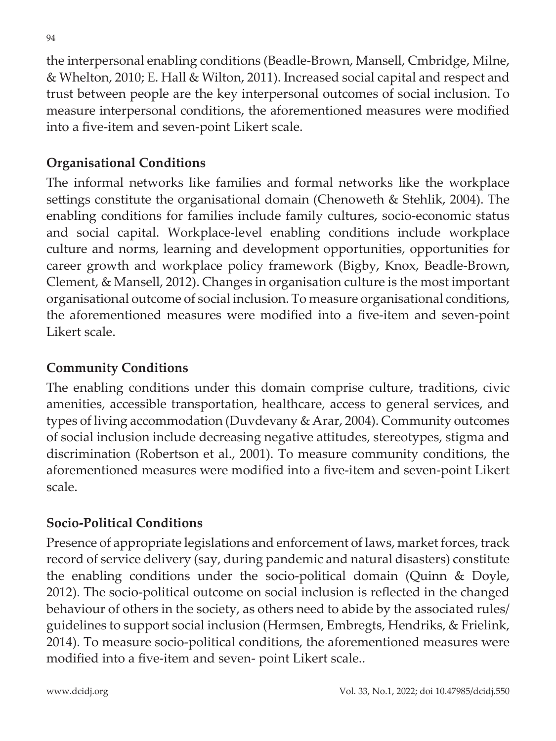the interpersonal enabling conditions (Beadle-Brown, Mansell, Cmbridge, Milne, & Whelton, 2010; E. Hall & Wilton, 2011). Increased social capital and respect and trust between people are the key interpersonal outcomes of social inclusion. To measure interpersonal conditions, the aforementioned measures were modified into a five-item and seven-point Likert scale.

#### **Organisational Conditions**

The informal networks like families and formal networks like the workplace settings constitute the organisational domain (Chenoweth & Stehlik, 2004). The enabling conditions for families include family cultures, socio-economic status and social capital. Workplace-level enabling conditions include workplace culture and norms, learning and development opportunities, opportunities for career growth and workplace policy framework (Bigby, Knox, Beadle-Brown, Clement, & Mansell, 2012). Changes in organisation culture is the most important organisational outcome of social inclusion. To measure organisational conditions, the aforementioned measures were modified into a five-item and seven-point Likert scale.

#### **Community Conditions**

The enabling conditions under this domain comprise culture, traditions, civic amenities, accessible transportation, healthcare, access to general services, and types of living accommodation (Duvdevany & Arar, 2004). Community outcomes of social inclusion include decreasing negative attitudes, stereotypes, stigma and discrimination (Robertson et al., 2001). To measure community conditions, the aforementioned measures were modified into a five-item and seven-point Likert scale.

# **Socio-Political Conditions**

Presence of appropriate legislations and enforcement of laws, market forces, track record of service delivery (say, during pandemic and natural disasters) constitute the enabling conditions under the socio-political domain (Quinn & Doyle, 2012). The socio-political outcome on social inclusion is reflected in the changed behaviour of others in the society, as others need to abide by the associated rules/ guidelines to support social inclusion (Hermsen, Embregts, Hendriks, & Frielink, 2014). To measure socio-political conditions, the aforementioned measures were modified into a five-item and seven- point Likert scale..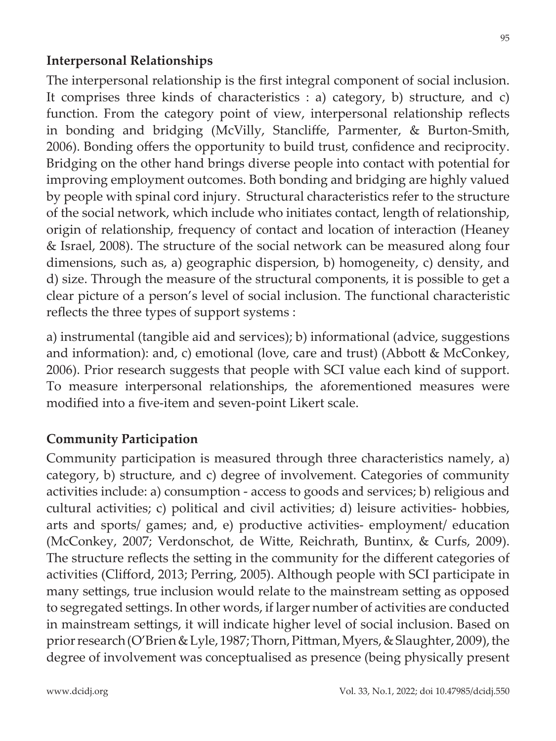#### **Interpersonal Relationships**

The interpersonal relationship is the first integral component of social inclusion. It comprises three kinds of characteristics : a) category, b) structure, and c) function. From the category point of view, interpersonal relationship reflects in bonding and bridging (McVilly, Stancliffe, Parmenter, & Burton-Smith, 2006). Bonding offers the opportunity to build trust, confidence and reciprocity. Bridging on the other hand brings diverse people into contact with potential for improving employment outcomes. Both bonding and bridging are highly valued by people with spinal cord injury. Structural characteristics refer to the structure of the social network, which include who initiates contact, length of relationship, origin of relationship, frequency of contact and location of interaction (Heaney & Israel, 2008). The structure of the social network can be measured along four dimensions, such as, a) geographic dispersion, b) homogeneity, c) density, and d) size. Through the measure of the structural components, it is possible to get a clear picture of a person's level of social inclusion. The functional characteristic reflects the three types of support systems :

a) instrumental (tangible aid and services); b) informational (advice, suggestions and information): and, c) emotional (love, care and trust) (Abbott & McConkey, 2006). Prior research suggests that people with SCI value each kind of support. To measure interpersonal relationships, the aforementioned measures were modified into a five-item and seven-point Likert scale.

# **Community Participation**

Community participation is measured through three characteristics namely, a) category, b) structure, and c) degree of involvement. Categories of community activities include: a) consumption - access to goods and services; b) religious and cultural activities; c) political and civil activities; d) leisure activities- hobbies, arts and sports/ games; and, e) productive activities- employment/ education (McConkey, 2007; Verdonschot, de Witte, Reichrath, Buntinx, & Curfs, 2009). The structure reflects the setting in the community for the different categories of activities (Clifford, 2013; Perring, 2005). Although people with SCI participate in many settings, true inclusion would relate to the mainstream setting as opposed to segregated settings. In other words, if larger number of activities are conducted in mainstream settings, it will indicate higher level of social inclusion. Based on prior research (O'Brien & Lyle, 1987; Thorn, Pittman, Myers, & Slaughter, 2009), the degree of involvement was conceptualised as presence (being physically present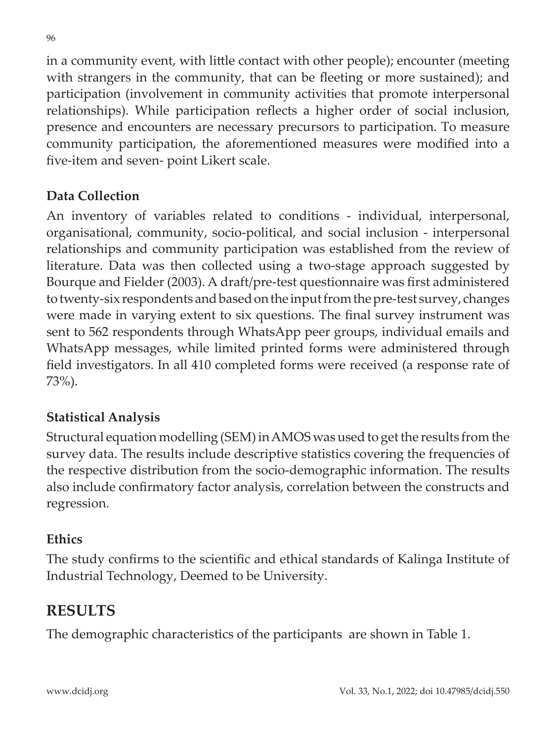in a community event, with little contact with other people); encounter (meeting with strangers in the community, that can be fleeting or more sustained); and participation (involvement in community activities that promote interpersonal relationships). While participation reflects a higher order of social inclusion, presence and encounters are necessary precursors to participation. To measure community participation, the aforementioned measures were modified into a five-item and seven- point Likert scale.

# **Data Collection**

An inventory of variables related to conditions - individual, interpersonal, organisational, community, socio-political, and social inclusion - interpersonal relationships and community participation was established from the review of literature. Data was then collected using a two-stage approach suggested by Bourque and Fielder (2003). A draft/pre-test questionnaire was first administered to twenty-six respondents and based on the input from the pre-test survey, changes were made in varying extent to six questions. The final survey instrument was sent to 562 respondents through WhatsApp peer groups, individual emails and WhatsApp messages, while limited printed forms were administered through field investigators. In all 410 completed forms were received (a response rate of 73%).

# **Statistical Analysis**

Structural equation modelling (SEM) in AMOS was used to get the results from the survey data. The results include descriptive statistics covering the frequencies of the respective distribution from the socio-demographic information. The results also include confirmatory factor analysis, correlation between the constructs and regression.

# **Ethics**

The study confirms to the scientific and ethical standards of Kalinga Institute of Industrial Technology, Deemed to be University.

# **RESULTS**

The demographic characteristics of the participants are shown in Table 1.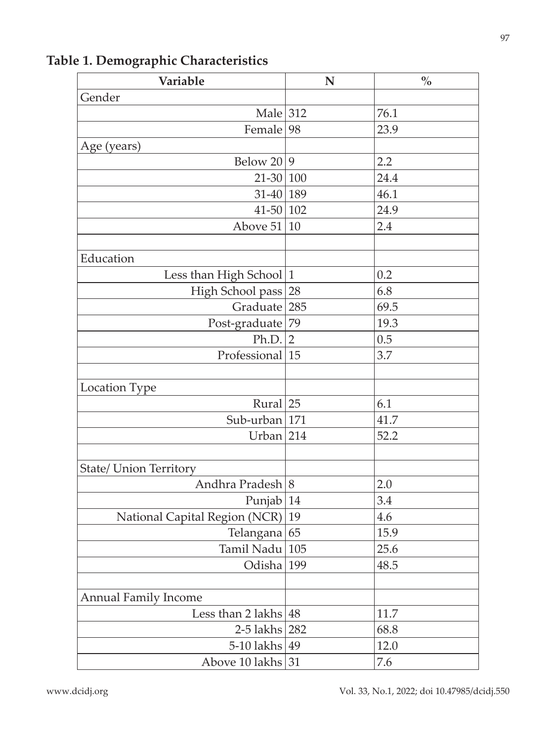| Variable                      | N              | $\frac{0}{0}$ |
|-------------------------------|----------------|---------------|
| Gender                        |                |               |
| Male $312$                    |                | 76.1          |
| Female                        | 98             | 23.9          |
| Age (years)                   |                |               |
| Below 20                      | 9              | 2.2           |
| $21-30 100$                   |                | 24.4          |
| $31-40$ 189                   |                | 46.1          |
| $41 - 50$ 102                 |                | 24.9          |
| Above $51$                    | 10             | 2.4           |
|                               |                |               |
| Education                     |                |               |
| Less than High School         | $\mathbf{1}$   | 0.2           |
| High School pass              | 28             | 6.8           |
| Graduate                      | 285            | 69.5          |
| Post-graduate 79              |                | 19.3          |
| Ph.D.                         | $\overline{2}$ | 0.5           |
| Professional                  | 15             | 3.7           |
|                               |                |               |
| Location Type                 |                |               |
| Rural $ 25$                   |                | 6.1           |
| Sub-urban 171                 |                | 41.7          |
| Urban                         | 214            | 52.2          |
|                               |                |               |
| <b>State/ Union Territory</b> |                |               |
| Andhra Pradesh 8              |                | 2.0           |
| Punjab                        | 14             | 3.4           |
| National Capital Region (NCR) | 19             | 4.6           |
| Telangana 65                  |                | 15.9          |
| Tamil Nadu                    | 105            | 25.6          |
| Odisha 199                    |                | 48.5          |
|                               |                |               |
| <b>Annual Family Income</b>   |                |               |
| Less than $2$ lakhs           | 48             | 11.7          |
| 2-5 lakhs 282                 |                | 68.8          |
| $5-10$ lakhs                  | 49             | 12.0          |
| Above 10 lakhs                | 31             | 7.6           |

**Table 1. Demographic Characteristics**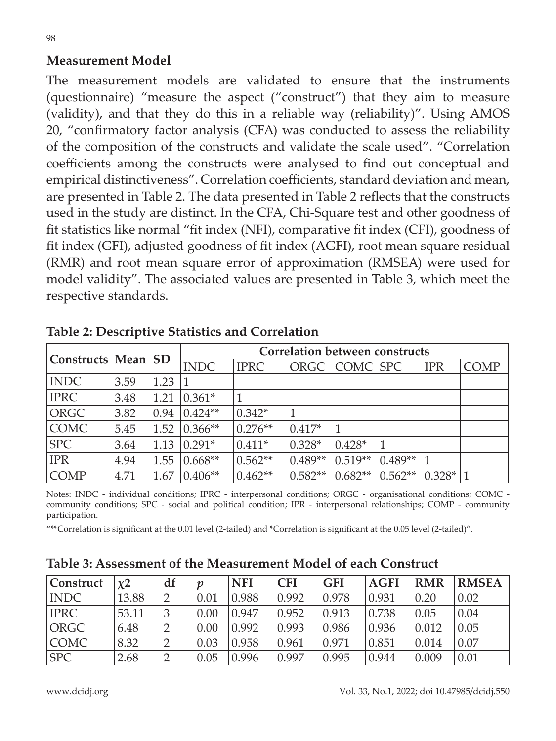#### **Measurement Model**

The measurement models are validated to ensure that the instruments (questionnaire) "measure the aspect ("construct") that they aim to measure (validity), and that they do this in a reliable way (reliability)". Using AMOS 20, "confirmatory factor analysis (CFA) was conducted to assess the reliability of the composition of the constructs and validate the scale used". "Correlation coefficients among the constructs were analysed to find out conceptual and empirical distinctiveness". Correlation coefficients, standard deviation and mean, are presented in Table 2. The data presented in Table 2 reflects that the constructs used in the study are distinct. In the CFA, Chi-Square test and other goodness of fit statistics like normal "fit index (NFI), comparative fit index (CFI), goodness of fit index (GFI), adjusted goodness of fit index (AGFI), root mean square residual (RMR) and root mean square error of approximation (RMSEA) were used for model validity". The associated values are presented in Table 3, which meet the respective standards.

| Constructs   Mean   SD |      |      | <b>Correlation between constructs</b> |             |           |           |           |            |             |
|------------------------|------|------|---------------------------------------|-------------|-----------|-----------|-----------|------------|-------------|
|                        |      |      | <b>INDC</b>                           | <b>IPRC</b> | ORGC      | COMC SPC  |           | <b>IPR</b> | <b>COMP</b> |
| <b>INDC</b>            | 3.59 | 1.23 |                                       |             |           |           |           |            |             |
| <b>IPRC</b>            | 3.48 | 1.21 | $0.361*$                              |             |           |           |           |            |             |
| ORGC                   | 3.82 | 0.94 | $0.424**$                             | $0.342*$    |           |           |           |            |             |
| <b>COMC</b>            | 5.45 | 1.52 | $0.366**$                             | $0.276**$   | $0.417*$  |           |           |            |             |
| <b>SPC</b>             | 3.64 | 1.13 | $0.291*$                              | $0.411*$    | $0.328*$  | $0.428*$  | 1         |            |             |
| <b>IPR</b>             | 4.94 | 1.55 | $0.668**$                             | $0.562**$   | $0.489**$ | $0.519**$ | $0.489**$ |            |             |
| <b>COMP</b>            | 4.71 | 1.67 | $0.406**$                             | $0.462**$   | $0.582**$ | $0.682**$ | $0.562**$ | $0.328* 1$ |             |

**Table 2: Descriptive Statistics and Correlation**

Notes: INDC - individual conditions; IPRC - interpersonal conditions; ORGC - organisational conditions; COMC community conditions; SPC - social and political condition; IPR - interpersonal relationships; COMP - community participation.

"\*\*Correlation is significant at the 0.01 level (2-tailed) and \*Correlation is significant at the 0.05 level (2-tailed)".

| <b>Construct</b> | x2    | df | n    | <b>NFI</b> | <b>CFI</b> | <b>GFI</b> | <b>AGFI</b> | <b>RMR</b> | <b>RMSEA</b> |
|------------------|-------|----|------|------------|------------|------------|-------------|------------|--------------|
| <b>INDC</b>      | 13.88 |    | 0.01 | 0.988      | 0.992      | 0.978      | 0.931       | 0.20       | 0.02         |
| <b>IPRC</b>      | 53.11 |    | 0.00 | 0.947      | 0.952      | 0.913      | 0.738       | 0.05       | 0.04         |
| <b>ORGC</b>      | 6.48  |    | 0.00 | 0.992      | 0.993      | 0.986      | 0.936       | 0.012      | 0.05         |
| <b>COMC</b>      | 8.32  |    | 0.03 | 0.958      | 0.961      | 0.971      | 0.851       | 0.014      | 0.07         |
| <b>SPC</b>       | 2.68  |    | 0.05 | 0.996      | 0.997      | 0.995      | 0.944       | 0.009      | 0.01         |

#### **Table 3: Assessment of the Measurement Model of each Construct**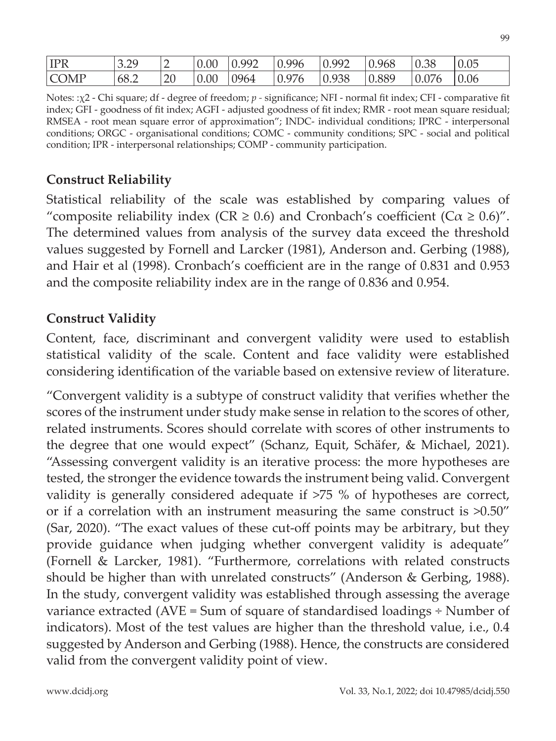| <b>IPR</b>  | 3.29<br>رے، ب | ∽  | 0.00 | 0.992       | 0.996 | $\Omega$ 992 | 0.968 | 0.38  | በ በ5<br>U.US |
|-------------|---------------|----|------|-------------|-------|--------------|-------|-------|--------------|
| <b>COMP</b> | 68.2          | 20 | 0.00 | <b>9964</b> | 0.976 | 0.938        | 0.889 | 0.076 | 0.06         |

Notes: :χ2 - Chi square; df - degree of freedom; *p -* significance; NFI - normal fit index; CFI - comparative fit index; GFI - goodness of fit index; AGFI - adjusted goodness of fit index; RMR - root mean square residual; RMSEA - root mean square error of approximation"; INDC- individual conditions; IPRC - interpersonal conditions; ORGC - organisational conditions; COMC - community conditions; SPC - social and political condition; IPR - interpersonal relationships; COMP - community participation.

#### **Construct Reliability**

Statistical reliability of the scale was established by comparing values of "composite reliability index (CR  $\geq$  0.6) and Cronbach's coefficient (C $\alpha \geq 0.6$ )". The determined values from analysis of the survey data exceed the threshold values suggested by Fornell and Larcker (1981), Anderson and. Gerbing (1988), and Hair et al (1998). Cronbach's coefficient are in the range of 0.831 and 0.953 and the composite reliability index are in the range of 0.836 and 0.954.

#### **Construct Validity**

Content, face, discriminant and convergent validity were used to establish statistical validity of the scale. Content and face validity were established considering identification of the variable based on extensive review of literature.

"Convergent validity is a subtype of construct validity that verifies whether the scores of the instrument under study make sense in relation to the scores of other, related instruments. Scores should correlate with scores of other instruments to the degree that one would expect" (Schanz, Equit, Schäfer, & Michael, 2021). "Assessing convergent validity is an iterative process: the more hypotheses are tested, the stronger the evidence towards the instrument being valid. Convergent validity is generally considered adequate if >75 % of hypotheses are correct, or if a correlation with an instrument measuring the same construct is >0.50" (Sar, 2020). "The exact values of these cut-off points may be arbitrary, but they provide guidance when judging whether convergent validity is adequate" (Fornell & Larcker, 1981). "Furthermore, correlations with related constructs should be higher than with unrelated constructs" (Anderson & Gerbing, 1988). In the study, convergent validity was established through assessing the average variance extracted (AVE = Sum of square of standardised loadings ÷ Number of indicators). Most of the test values are higher than the threshold value, i.e., 0.4 suggested by Anderson and Gerbing (1988). Hence, the constructs are considered valid from the convergent validity point of view.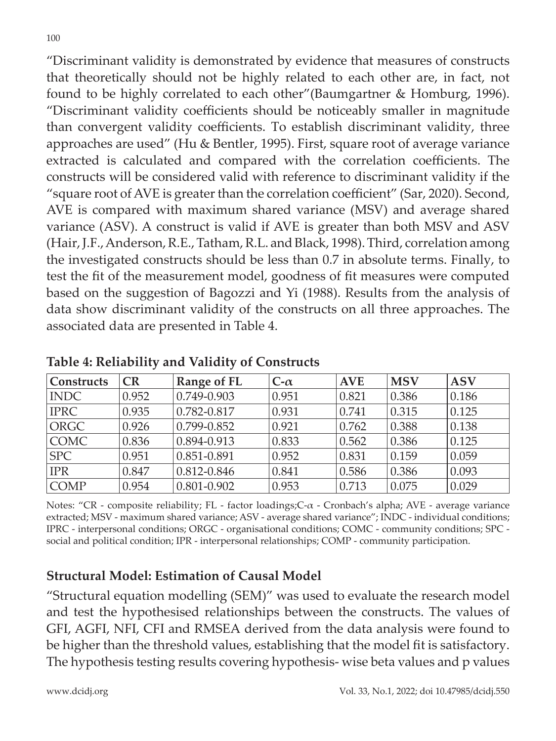"Discriminant validity is demonstrated by evidence that measures of constructs that theoretically should not be highly related to each other are, in fact, not found to be highly correlated to each other"(Baumgartner & Homburg, 1996). "Discriminant validity coefficients should be noticeably smaller in magnitude than convergent validity coefficients. To establish discriminant validity, three approaches are used" (Hu & Bentler, 1995). First, square root of average variance extracted is calculated and compared with the correlation coefficients. The constructs will be considered valid with reference to discriminant validity if the "square root of AVE is greater than the correlation coefficient" (Sar, 2020). Second, AVE is compared with maximum shared variance (MSV) and average shared variance (ASV). A construct is valid if AVE is greater than both MSV and ASV (Hair, J.F., Anderson, R.E., Tatham, R.L. and Black, 1998). Third, correlation among the investigated constructs should be less than 0.7 in absolute terms. Finally, to test the fit of the measurement model, goodness of fit measures were computed based on the suggestion of Bagozzi and Yi (1988). Results from the analysis of data show discriminant validity of the constructs on all three approaches. The associated data are presented in Table 4.

| Constructs  | <b>CR</b> | Range of FL     | $C$ - $\alpha$ | <b>AVE</b> | <b>MSV</b> | <b>ASV</b> |
|-------------|-----------|-----------------|----------------|------------|------------|------------|
| <b>INDC</b> | 0.952     | 0.749-0.903     | 0.951          | 0.821      | 0.386      | 0.186      |
| <b>IPRC</b> | 0.935     | 0.782-0.817     | 0.931          | 0.741      | 0.315      | 0.125      |
| <b>ORGC</b> | 0.926     | 0.799-0.852     | 0.921          | 0.762      | 0.388      | 0.138      |
| <b>COMC</b> | 0.836     | 0.894-0.913     | 0.833          | 0.562      | 0.386      | 0.125      |
| <b>SPC</b>  | 0.951     | 0.851-0.891     | 0.952          | 0.831      | 0.159      | 0.059      |
| <b>IPR</b>  | 0.847     | 0.812-0.846     | 0.841          | 0.586      | 0.386      | 0.093      |
| <b>COMP</b> | 0.954     | $0.801 - 0.902$ | 0.953          | 0.713      | 0.075      | 0.029      |

**Table 4: Reliability and Validity of Constructs**

Notes: "CR - composite reliability; FL - factor loadings;C-α - Cronbach's alpha; AVE - average variance extracted; MSV - maximum shared variance; ASV - average shared variance"; INDC - individual conditions; IPRC - interpersonal conditions; ORGC - organisational conditions; COMC - community conditions; SPC social and political condition; IPR - interpersonal relationships; COMP - community participation.

#### **Structural Model: Estimation of Causal Model**

"Structural equation modelling (SEM)" was used to evaluate the research model and test the hypothesised relationships between the constructs. The values of GFI, AGFI, NFI, CFI and RMSEA derived from the data analysis were found to be higher than the threshold values, establishing that the model fit is satisfactory. The hypothesis testing results covering hypothesis- wise beta values and p values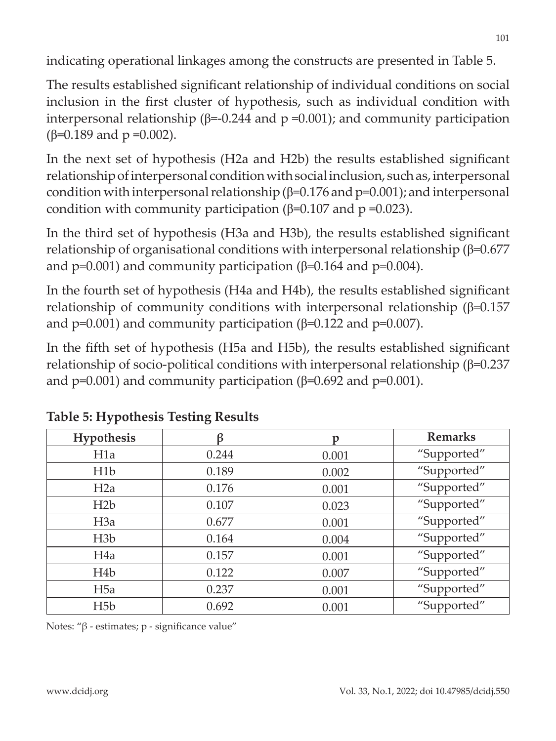indicating operational linkages among the constructs are presented in Table 5.

The results established significant relationship of individual conditions on social inclusion in the first cluster of hypothesis, such as individual condition with interpersonal relationship (β=-0.244 and  $p = 0.001$ ); and community participation (β=0.189 and  $p = 0.002$ ).

In the next set of hypothesis (H2a and H2b) the results established significant relationship of interpersonal condition with social inclusion, such as, interpersonal condition with interpersonal relationship ( $\beta$ =0.176 and p=0.001); and interpersonal condition with community participation ( $β=0.107$  and  $p=0.023$ ).

In the third set of hypothesis (H3a and H3b), the results established significant relationship of organisational conditions with interpersonal relationship (β=0.677 and p=0.001) and community participation ( $β=0.164$  and  $p=0.004$ ).

In the fourth set of hypothesis (H4a and H4b), the results established significant relationship of community conditions with interpersonal relationship (β=0.157 and p=0.001) and community participation ( $\beta$ =0.122 and p=0.007).

In the fifth set of hypothesis (H5a and H5b), the results established significant relationship of socio-political conditions with interpersonal relationship (β=0.237 and p=0.001) and community participation ( $\beta$ =0.692 and p=0.001).

| <b>Hypothesis</b> | ß     | p     | <b>Remarks</b> |
|-------------------|-------|-------|----------------|
| H1a               | 0.244 | 0.001 | "Supported"    |
| H1b               | 0.189 | 0.002 | "Supported"    |
| H2a               | 0.176 | 0.001 | "Supported"    |
| H2b               | 0.107 | 0.023 | "Supported"    |
| H3a               | 0.677 | 0.001 | "Supported"    |
| H3b               | 0.164 | 0.004 | "Supported"    |
| H <sub>4</sub> a  | 0.157 | 0.001 | "Supported"    |
| H <sub>4</sub> b  | 0.122 | 0.007 | "Supported"    |
| H <sub>5</sub> a  | 0.237 | 0.001 | "Supported"    |
| H <sub>5</sub> b  | 0.692 | 0.001 | "Supported"    |

| Table 5: Hypothesis Testing Results |  |
|-------------------------------------|--|
|-------------------------------------|--|

Notes: "β - estimates; p - significance value"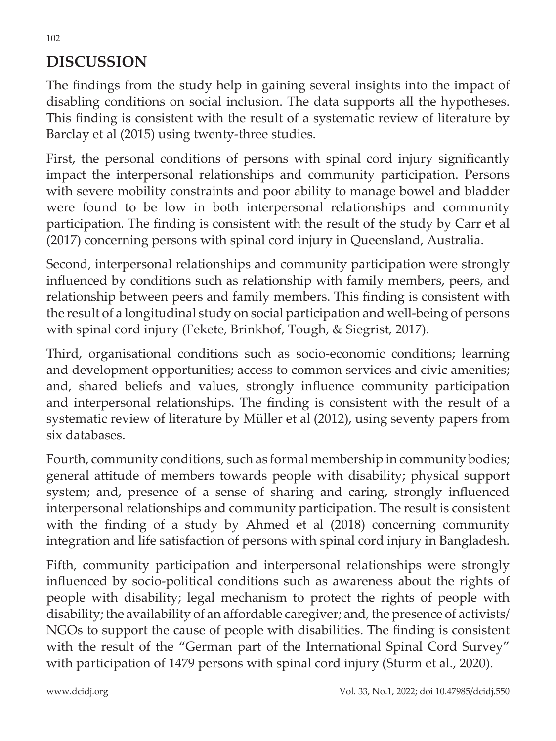# **DISCUSSION**

The findings from the study help in gaining several insights into the impact of disabling conditions on social inclusion. The data supports all the hypotheses. This finding is consistent with the result of a systematic review of literature by Barclay et al (2015) using twenty-three studies.

First, the personal conditions of persons with spinal cord injury significantly impact the interpersonal relationships and community participation. Persons with severe mobility constraints and poor ability to manage bowel and bladder were found to be low in both interpersonal relationships and community participation. The finding is consistent with the result of the study by Carr et al (2017) concerning persons with spinal cord injury in Queensland, Australia.

Second, interpersonal relationships and community participation were strongly influenced by conditions such as relationship with family members, peers, and relationship between peers and family members. This finding is consistent with the result of a longitudinal study on social participation and well-being of persons with spinal cord injury (Fekete, Brinkhof, Tough, & Siegrist, 2017).

Third, organisational conditions such as socio-economic conditions; learning and development opportunities; access to common services and civic amenities; and, shared beliefs and values, strongly influence community participation and interpersonal relationships. The finding is consistent with the result of a systematic review of literature by Müller et al (2012), using seventy papers from six databases.

Fourth, community conditions, such as formal membership in community bodies; general attitude of members towards people with disability; physical support system; and, presence of a sense of sharing and caring, strongly influenced interpersonal relationships and community participation. The result is consistent with the finding of a study by Ahmed et al (2018) concerning community integration and life satisfaction of persons with spinal cord injury in Bangladesh.

Fifth, community participation and interpersonal relationships were strongly influenced by socio-political conditions such as awareness about the rights of people with disability; legal mechanism to protect the rights of people with disability; the availability of an affordable caregiver; and, the presence of activists/ NGOs to support the cause of people with disabilities. The finding is consistent with the result of the "German part of the International Spinal Cord Survey" with participation of 1479 persons with spinal cord injury (Sturm et al., 2020).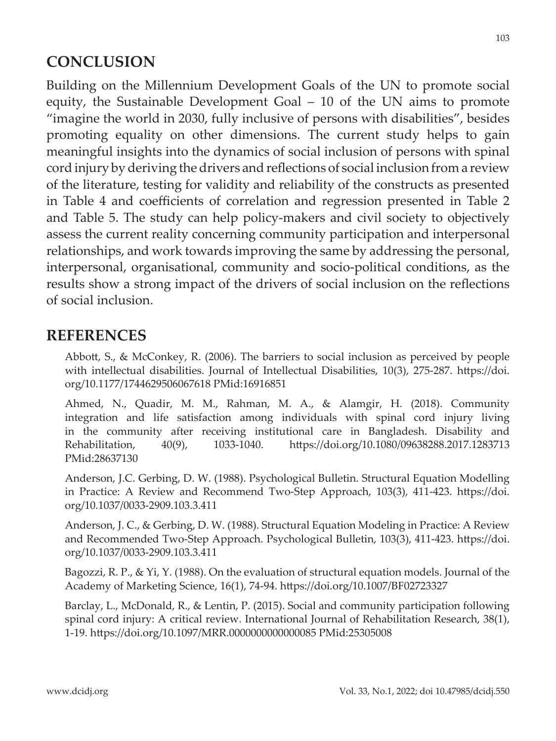# **CONCLUSION**

Building on the Millennium Development Goals of the UN to promote social equity, the Sustainable Development Goal – 10 of the UN aims to promote "imagine the world in 2030, fully inclusive of persons with disabilities", besides promoting equality on other dimensions. The current study helps to gain meaningful insights into the dynamics of social inclusion of persons with spinal cord injury by deriving the drivers and reflections of social inclusion from a review of the literature, testing for validity and reliability of the constructs as presented in Table 4 and coefficients of correlation and regression presented in Table 2 and Table 5. The study can help policy-makers and civil society to objectively assess the current reality concerning community participation and interpersonal relationships, and work towards improving the same by addressing the personal, interpersonal, organisational, community and socio-political conditions, as the results show a strong impact of the drivers of social inclusion on the reflections of social inclusion.

# **REFERENCES**

Abbott, S., & McConkey, R. (2006). The barriers to social inclusion as perceived by people with intellectual disabilities. Journal of Intellectual Disabilities, 10(3), 275-287. https://doi. org/10.1177/1744629506067618 PMid:16916851

Ahmed, N., Quadir, M. M., Rahman, M. A., & Alamgir, H. (2018). Community integration and life satisfaction among individuals with spinal cord injury living in the community after receiving institutional care in Bangladesh. Disability and Rehabilitation, 40(9), 1033-1040. https://doi.org/10.1080/09638288.2017.1283713 PMid:28637130

Anderson, J.C. Gerbing, D. W. (1988). Psychological Bulletin. Structural Equation Modelling in Practice: A Review and Recommend Two-Step Approach, 103(3), 411-423. https://doi. org/10.1037/0033-2909.103.3.411

Anderson, J. C., & Gerbing, D. W. (1988). Structural Equation Modeling in Practice: A Review and Recommended Two-Step Approach. Psychological Bulletin, 103(3), 411-423. https://doi. org/10.1037/0033-2909.103.3.411

Bagozzi, R. P., & Yi, Y. (1988). On the evaluation of structural equation models. Journal of the Academy of Marketing Science, 16(1), 74-94. https://doi.org/10.1007/BF02723327

Barclay, L., McDonald, R., & Lentin, P. (2015). Social and community participation following spinal cord injury: A critical review. International Journal of Rehabilitation Research, 38(1), 1-19. https://doi.org/10.1097/MRR.0000000000000085 PMid:25305008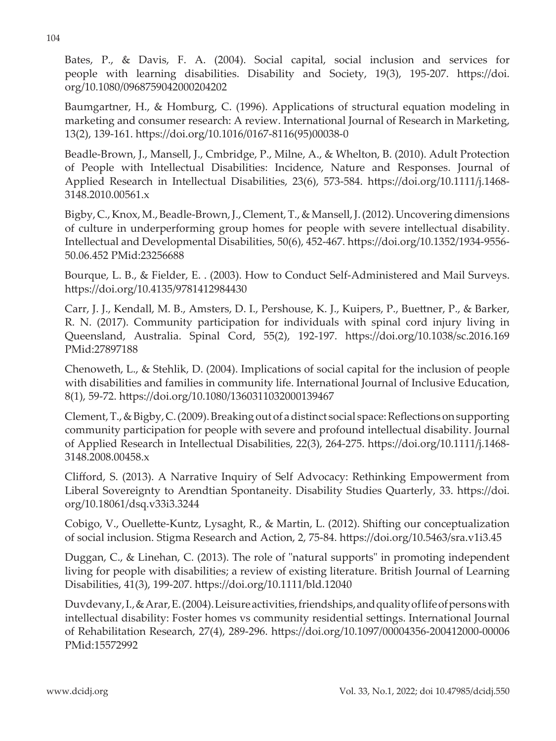Bates, P., & Davis, F. A. (2004). Social capital, social inclusion and services for people with learning disabilities. Disability and Society, 19(3), 195-207. https://doi. org/10.1080/0968759042000204202

Baumgartner, H., & Homburg, C. (1996). Applications of structural equation modeling in marketing and consumer research: A review. International Journal of Research in Marketing, 13(2), 139-161. https://doi.org/10.1016/0167-8116(95)00038-0

Beadle-Brown, J., Mansell, J., Cmbridge, P., Milne, A., & Whelton, B. (2010). Adult Protection of People with Intellectual Disabilities: Incidence, Nature and Responses. Journal of Applied Research in Intellectual Disabilities, 23(6), 573-584. https://doi.org/10.1111/j.1468- 3148.2010.00561.x

Bigby, C., Knox, M., Beadle-Brown, J., Clement, T., & Mansell, J. (2012). Uncovering dimensions of culture in underperforming group homes for people with severe intellectual disability. Intellectual and Developmental Disabilities, 50(6), 452-467. https://doi.org/10.1352/1934-9556- 50.06.452 PMid:23256688

Bourque, L. B., & Fielder, E. . (2003). How to Conduct Self-Administered and Mail Surveys. https://doi.org/10.4135/9781412984430

Carr, J. J., Kendall, M. B., Amsters, D. I., Pershouse, K. J., Kuipers, P., Buettner, P., & Barker, R. N. (2017). Community participation for individuals with spinal cord injury living in Queensland, Australia. Spinal Cord, 55(2), 192-197. https://doi.org/10.1038/sc.2016.169 PMid:27897188

Chenoweth, L., & Stehlik, D. (2004). Implications of social capital for the inclusion of people with disabilities and families in community life. International Journal of Inclusive Education, 8(1), 59-72. https://doi.org/10.1080/1360311032000139467

Clement, T., & Bigby, C. (2009). Breaking out of a distinct social space: Reflections on supporting community participation for people with severe and profound intellectual disability. Journal of Applied Research in Intellectual Disabilities, 22(3), 264-275. https://doi.org/10.1111/j.1468- 3148.2008.00458.x

Clifford, S. (2013). A Narrative Inquiry of Self Advocacy: Rethinking Empowerment from Liberal Sovereignty to Arendtian Spontaneity. Disability Studies Quarterly, 33. https://doi. org/10.18061/dsq.v33i3.3244

Cobigo, V., Ouellette-Kuntz, Lysaght, R., & Martin, L. (2012). Shifting our conceptualization of social inclusion. Stigma Research and Action, 2, 75-84. https://doi.org/10.5463/sra.v1i3.45

Duggan, C., & Linehan, C. (2013). The role of "natural supports" in promoting independent living for people with disabilities; a review of existing literature. British Journal of Learning Disabilities, 41(3), 199-207. https://doi.org/10.1111/bld.12040

Duvdevany, I., & Arar, E. (2004). Leisure activities, friendships, and quality of life of persons with intellectual disability: Foster homes vs community residential settings. International Journal of Rehabilitation Research, 27(4), 289-296. https://doi.org/10.1097/00004356-200412000-00006 PMid:15572992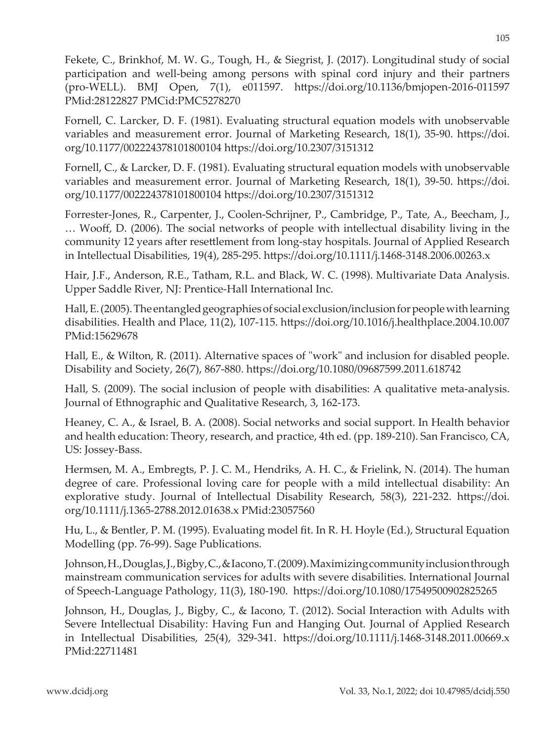Fekete, C., Brinkhof, M. W. G., Tough, H., & Siegrist, J. (2017). Longitudinal study of social participation and well-being among persons with spinal cord injury and their partners

PMid:28122827 PMCid:PMC5278270 Fornell, C. Larcker, D. F. (1981). Evaluating structural equation models with unobservable

(pro-WELL). BMJ Open, 7(1), e011597. https://doi.org/10.1136/bmjopen-2016-011597

variables and measurement error. Journal of Marketing Research, 18(1), 35-90. https://doi. org/10.1177/002224378101800104 https://doi.org/10.2307/3151312

Fornell, C., & Larcker, D. F. (1981). Evaluating structural equation models with unobservable variables and measurement error. Journal of Marketing Research, 18(1), 39-50. https://doi. org/10.1177/002224378101800104 https://doi.org/10.2307/3151312

Forrester-Jones, R., Carpenter, J., Coolen-Schrijner, P., Cambridge, P., Tate, A., Beecham, J., … Wooff, D. (2006). The social networks of people with intellectual disability living in the community 12 years after resettlement from long-stay hospitals. Journal of Applied Research in Intellectual Disabilities, 19(4), 285-295. https://doi.org/10.1111/j.1468-3148.2006.00263.x

Hair, J.F., Anderson, R.E., Tatham, R.L. and Black, W. C. (1998). Multivariate Data Analysis. Upper Saddle River, NJ: Prentice-Hall International Inc.

Hall, E. (2005). The entangled geographies of social exclusion/inclusion for people with learning disabilities. Health and Place, 11(2), 107-115. https://doi.org/10.1016/j.healthplace.2004.10.007 PMid:15629678

Hall, E., & Wilton, R. (2011). Alternative spaces of "work" and inclusion for disabled people. Disability and Society, 26(7), 867-880. https://doi.org/10.1080/09687599.2011.618742

Hall, S. (2009). The social inclusion of people with disabilities: A qualitative meta-analysis. Journal of Ethnographic and Qualitative Research, 3, 162-173.

Heaney, C. A., & Israel, B. A. (2008). Social networks and social support. In Health behavior and health education: Theory, research, and practice, 4th ed. (pp. 189-210). San Francisco, CA, US: Jossey-Bass.

Hermsen, M. A., Embregts, P. J. C. M., Hendriks, A. H. C., & Frielink, N. (2014). The human degree of care. Professional loving care for people with a mild intellectual disability: An explorative study. Journal of Intellectual Disability Research, 58(3), 221-232. https://doi. org/10.1111/j.1365-2788.2012.01638.x PMid:23057560

Hu, L., & Bentler, P. M. (1995). Evaluating model fit. In R. H. Hoyle (Ed.), Structural Equation Modelling (pp. 76-99). Sage Publications.

Johnson, H., Douglas, J., Bigby, C., & Iacono, T. (2009). Maximizing community inclusion through mainstream communication services for adults with severe disabilities. International Journal of Speech-Language Pathology, 11(3), 180-190. https://doi.org/10.1080/17549500902825265

Johnson, H., Douglas, J., Bigby, C., & Iacono, T. (2012). Social Interaction with Adults with Severe Intellectual Disability: Having Fun and Hanging Out. Journal of Applied Research in Intellectual Disabilities, 25(4), 329-341. https://doi.org/10.1111/j.1468-3148.2011.00669.x PMid:22711481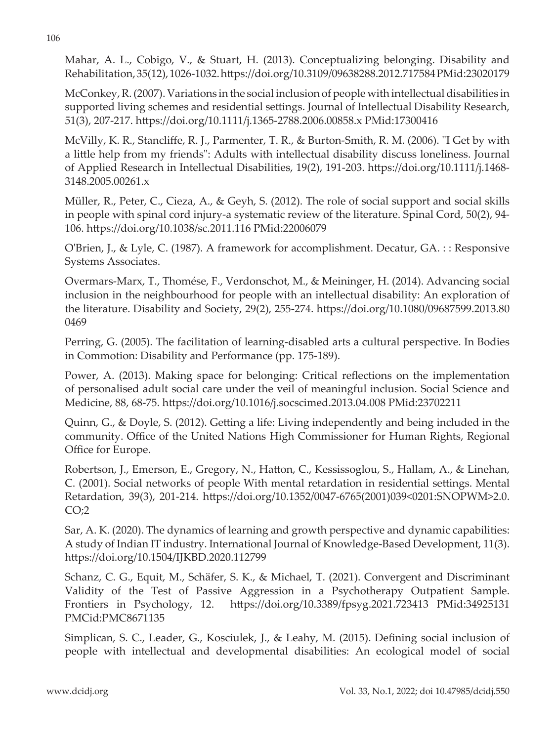Mahar, A. L., Cobigo, V., & Stuart, H. (2013). Conceptualizing belonging. Disability and Rehabilitation, 35(12), 1026-1032. https://doi.org/10.3109/09638288.2012.717584 PMid:23020179

McConkey, R. (2007). Variations in the social inclusion of people with intellectual disabilities in supported living schemes and residential settings. Journal of Intellectual Disability Research, 51(3), 207-217. https://doi.org/10.1111/j.1365-2788.2006.00858.x PMid:17300416

McVilly, K. R., Stancliffe, R. J., Parmenter, T. R., & Burton-Smith, R. M. (2006). "I Get by with a little help from my friends": Adults with intellectual disability discuss loneliness. Journal of Applied Research in Intellectual Disabilities, 19(2), 191-203. https://doi.org/10.1111/j.1468- 3148.2005.00261.x

Müller, R., Peter, C., Cieza, A., & Geyh, S. (2012). The role of social support and social skills in people with spinal cord injury-a systematic review of the literature. Spinal Cord, 50(2), 94- 106. https://doi.org/10.1038/sc.2011.116 PMid:22006079

O'Brien, J., & Lyle, C. (1987). A framework for accomplishment. Decatur, GA. : : Responsive Systems Associates.

Overmars-Marx, T., Thomése, F., Verdonschot, M., & Meininger, H. (2014). Advancing social inclusion in the neighbourhood for people with an intellectual disability: An exploration of the literature. Disability and Society, 29(2), 255-274. https://doi.org/10.1080/09687599.2013.80 0469

Perring, G. (2005). The facilitation of learning-disabled arts a cultural perspective. In Bodies in Commotion: Disability and Performance (pp. 175-189).

Power, A. (2013). Making space for belonging: Critical reflections on the implementation of personalised adult social care under the veil of meaningful inclusion. Social Science and Medicine, 88, 68-75. https://doi.org/10.1016/j.socscimed.2013.04.008 PMid:23702211

Quinn, G., & Doyle, S. (2012). Getting a life: Living independently and being included in the community. Office of the United Nations High Commissioner for Human Rights, Regional Office for Europe.

Robertson, J., Emerson, E., Gregory, N., Hatton, C., Kessissoglou, S., Hallam, A., & Linehan, C. (2001). Social networks of people With mental retardation in residential settings. Mental Retardation, 39(3), 201-214. https://doi.org/10.1352/0047-6765(2001)039<0201:SNOPWM>2.0.  $CO<sub>2</sub>$ 

Sar, A. K. (2020). The dynamics of learning and growth perspective and dynamic capabilities: A study of Indian IT industry. International Journal of Knowledge-Based Development, 11(3). https://doi.org/10.1504/IJKBD.2020.112799

Schanz, C. G., Equit, M., Schäfer, S. K., & Michael, T. (2021). Convergent and Discriminant Validity of the Test of Passive Aggression in a Psychotherapy Outpatient Sample. Frontiers in Psychology, 12. https://doi.org/10.3389/fpsyg.2021.723413 PMid:34925131 PMCid:PMC8671135

Simplican, S. C., Leader, G., Kosciulek, J., & Leahy, M. (2015). Defining social inclusion of people with intellectual and developmental disabilities: An ecological model of social